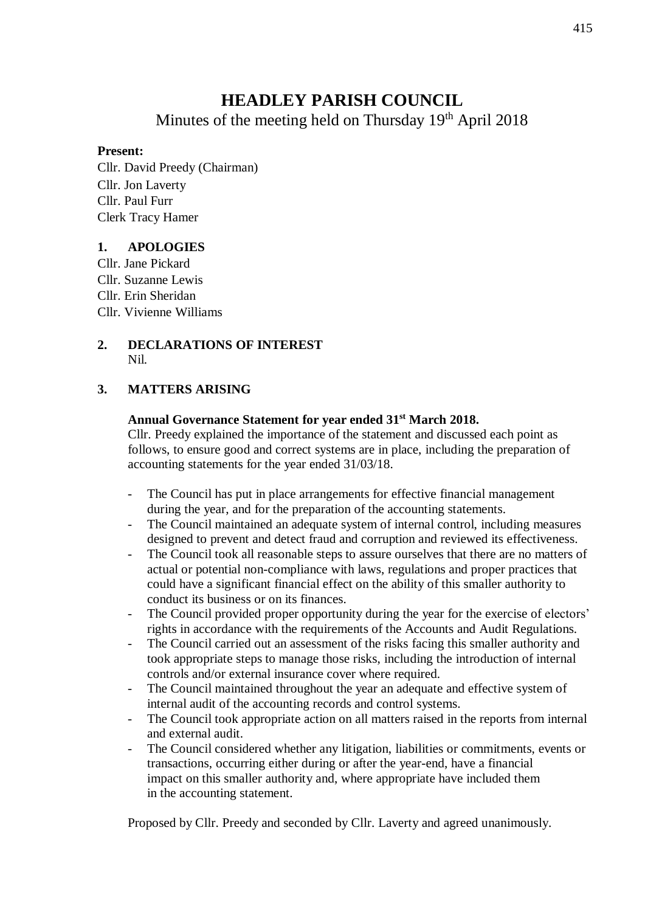# **HEADLEY PARISH COUNCIL**

Minutes of the meeting held on Thursday 19<sup>th</sup> April 2018

### **Present:**

Cllr. David Preedy (Chairman) Cllr. Jon Laverty Cllr. Paul Furr Clerk Tracy Hamer

## **1. APOLOGIES**

Cllr. Jane Pickard Cllr. Suzanne Lewis Cllr. Erin Sheridan Cllr. Vivienne Williams

#### **2. DECLARATIONS OF INTEREST** Nil.

## **3. MATTERS ARISING**

### **Annual Governance Statement for year ended 31st March 2018.**

Cllr. Preedy explained the importance of the statement and discussed each point as follows, to ensure good and correct systems are in place, including the preparation of accounting statements for the year ended 31/03/18.

- The Council has put in place arrangements for effective financial management during the year, and for the preparation of the accounting statements.
- The Council maintained an adequate system of internal control, including measures designed to prevent and detect fraud and corruption and reviewed its effectiveness.
- The Council took all reasonable steps to assure ourselves that there are no matters of actual or potential non-compliance with laws, regulations and proper practices that could have a significant financial effect on the ability of this smaller authority to conduct its business or on its finances.
- The Council provided proper opportunity during the year for the exercise of electors' rights in accordance with the requirements of the Accounts and Audit Regulations.
- The Council carried out an assessment of the risks facing this smaller authority and took appropriate steps to manage those risks, including the introduction of internal controls and/or external insurance cover where required.
- The Council maintained throughout the year an adequate and effective system of internal audit of the accounting records and control systems.
- The Council took appropriate action on all matters raised in the reports from internal and external audit.
- The Council considered whether any litigation, liabilities or commitments, events or transactions, occurring either during or after the year-end, have a financial impact on this smaller authority and, where appropriate have included them in the accounting statement.

Proposed by Cllr. Preedy and seconded by Cllr. Laverty and agreed unanimously.